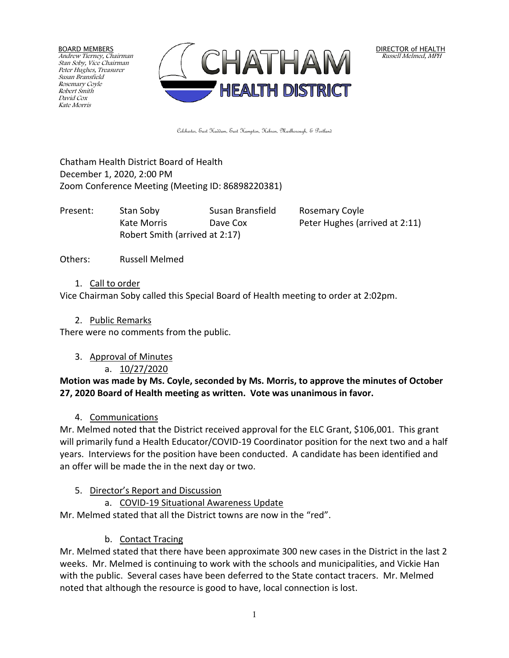BOARD MEMBERS Andrew Tierney, Chairman Stan Soby, Vice Chairman Peter Hughes, Treasurer Susan Bransfield Rosemary Coyle Robert Smith David Cox Kate Morris



DIRECTOR of HEALTH Russell Melmed, MPH

Colchester, East Haddam, East Hampton, Hebron, Marlborough, & Portland

Chatham Health District Board of Health December 1, 2020, 2:00 PM Zoom Conference Meeting (Meeting ID: 86898220381)

Present: Stan Soby Susan Bransfield Rosemary Coyle Robert Smith (arrived at 2:17)

Kate Morris **Dave Cox** Peter Hughes (arrived at 2:11)

Others: Russell Melmed

1. Call to order

Vice Chairman Soby called this Special Board of Health meeting to order at 2:02pm.

2. Public Remarks

There were no comments from the public.

3. Approval of Minutes

a. 10/27/2020

#### **Motion was made by Ms. Coyle, seconded by Ms. Morris, to approve the minutes of October 27, 2020 Board of Health meeting as written. Vote was unanimous in favor.**

4. Communications

Mr. Melmed noted that the District received approval for the ELC Grant, \$106,001. This grant will primarily fund a Health Educator/COVID-19 Coordinator position for the next two and a half years. Interviews for the position have been conducted. A candidate has been identified and an offer will be made the in the next day or two.

- 5. Director's Report and Discussion
	- a. COVID-19 Situational Awareness Update

Mr. Melmed stated that all the District towns are now in the "red".

b. Contact Tracing

Mr. Melmed stated that there have been approximate 300 new cases in the District in the last 2 weeks. Mr. Melmed is continuing to work with the schools and municipalities, and Vickie Han with the public. Several cases have been deferred to the State contact tracers. Mr. Melmed noted that although the resource is good to have, local connection is lost.